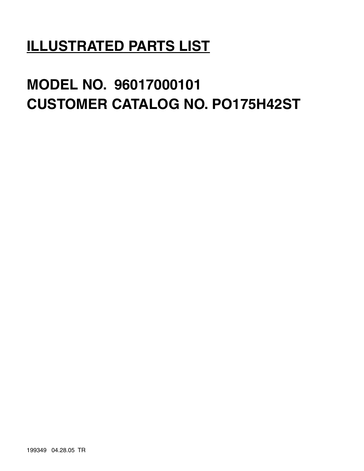# **ILLUSTRATED PARTS LIST**

# **MODEL NO. 96017000101 CUSTOMER CATALOG NO. PO175H42ST**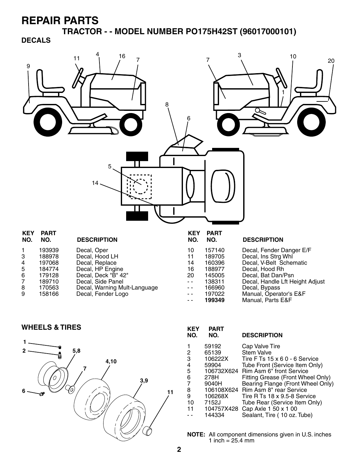**TRACTOR - - MODEL NUMBER PO175H42ST (96017000101) DECALS**



Decal, Fender Logo

-- 166960 Decal, Bypass<br>-- 197022 Manual, Opera -- 197022 Manual, Operator's E&F<br>-- 199349 Manual, Parts E&F Manual, Parts E&F

#### **WHEELS & TIRES KEY PART**



| KEY<br>NO.     | PART<br>NO. | <b>DESCRIPTION</b>                  |
|----------------|-------------|-------------------------------------|
| 1              | 59192       | Cap Valve Tire                      |
| 2              | 65139       | <b>Stem Valve</b>                   |
| 3              | 106222X     | Tire F Ts 15 x 6 0 - 6 Service      |
| 4              | 59904       | Tube Front (Service Item Only)      |
| 5              |             | 106732X624 Rim Asm 6" front Service |
| 6              | 278H        | Fitting Grease (Front Wheel Only)   |
| $\overline{7}$ | 9040H       | Bearing Flange (Front Wheel Only)   |
| 8              |             | 106108X624 Rim Asm 8" rear Service  |
| 9              | 106268X     | Tire R Ts 18 x 9.5-8 Service        |
| 10             | 7152J       | Tube Rear (Service Item Only)       |
| 11             | 104757X428  | Cap Axle 1 50 x 1 00                |
|                | 144334      | Sealant, Tire (10 oz. Tube)         |
|                |             |                                     |

**NOTE:** All component dimensions given in U.S. inches 1 inch =  $25.4 \, \text{mm}$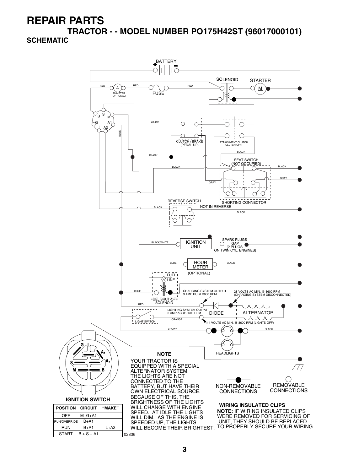**TRACTOR - - MODEL NUMBER PO175H42ST (96017000101) SCHEMATIC**

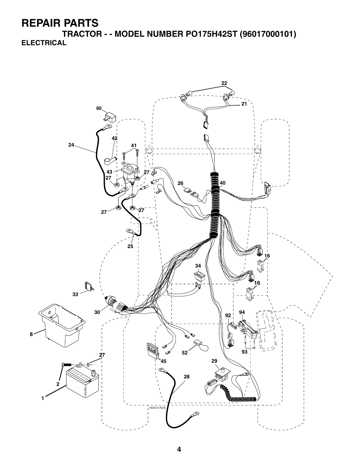**TRACTOR - - MODEL NUMBER PO175H42ST (96017000101) ELECTRICAL**

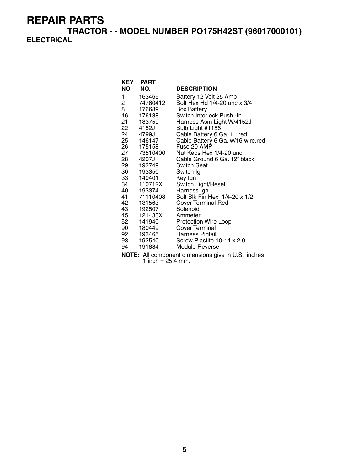**TRACTOR - - MODEL NUMBER PO175H42ST (96017000101) ELECTRICAL**

|                | <b>KEY PART</b> |                                    |
|----------------|-----------------|------------------------------------|
| NO.            | NO.             | <b>DESCRIPTION</b>                 |
| 1              | 163465          | Battery 12 Volt 25 Amp             |
| $\overline{2}$ | 74760412        | Bolt Hex Hd 1/4-20 unc x 3/4       |
| 8              | 176689          | <b>Box Battery</b>                 |
| 16 —           | 176138          | Switch Interlock Push -In          |
|                | 21 183759       | Harness Asm Light W/4152J          |
|                | 22 4152J        | Bulb Light #1156                   |
| 24             | 4799J           | Cable Battery 6 Ga. 11"red         |
|                | 25 146147       | Cable Battery 6 Ga. w/16 wire, red |
|                | 26 175158       | Fuse 20 AMP                        |
|                | 27 73510400     | Nut Keps Hex 1/4-20 unc            |
|                | 28 4207J        | Cable Ground 6 Ga. 12" black       |
|                | 29 192749       | <b>Switch Seat</b>                 |
|                | 30 193350       | Switch Ign                         |
|                | 33 140401       | Key Ign                            |
|                | 34 110712X      | Switch Light/Reset                 |
|                | 40 193374       | Harness Ign                        |
|                | 41 71110408     | Bolt Blk Fin Hex 1/4-20 x 1/2      |
| 42             | 131563          | <b>Cover Terminal Red</b>          |
|                | 43 192507       | Solenoid                           |
|                | 45 121433X      | Ammeter                            |
| 52             | 141940          | Protection Wire Loop               |
|                | 90 180449       | <b>Cover Terminal</b>              |
|                | 92 193465       | Harness Pigtail                    |
|                | 93 192540       | Screw Plastite 10-14 x 2.0         |
| 94             | 191834          | Module Reverse                     |

**NOTE:** All component dimensions give in U.S. inches 1 inch =  $25.4$  mm.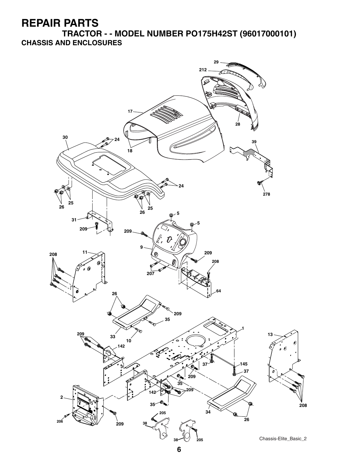**TRACTOR - - MODEL NUMBER PO175H42ST (96017000101) CHASSIS AND ENCLOSURES**

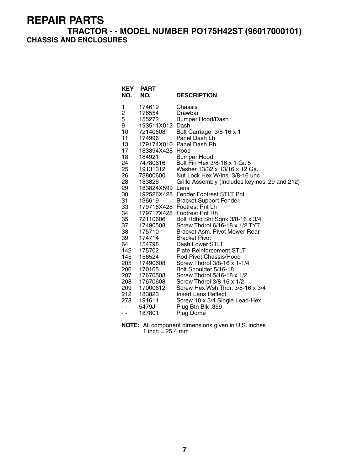### **TRACTOR - - MODEL NUMBER PO175H42ST (96017000101) CHASSIS AND ENCLOSURES**

| NO.                          | <b>KEY PART</b><br>NO. | <b>DESCRIPTION</b>                                            |
|------------------------------|------------------------|---------------------------------------------------------------|
| 1                            | 174619                 | Chassis                                                       |
| $\overline{\mathbf{c}}$<br>5 | 176554<br>155272       | Drawbar                                                       |
| 9                            | 193511X012             | <b>Bumper Hood/Dash</b><br>Dash                               |
| 10                           | 72140608               | Bolt Carriage 3/8-16 x 1                                      |
| 11                           | 174996                 | Panel Dash Lh                                                 |
| 13                           |                        | 179174X010 Panel Dash Rh                                      |
| 17                           | 183394X428 Hood        |                                                               |
| 18                           | 184921                 | <b>Bumper Hood</b>                                            |
| 24                           | 74780616               | Bolt Fin Hex 3/8-16 x 1 Gr. 5                                 |
| 25                           | 19131312               | Washer 13/32 x 13/16 x 12 Ga.                                 |
| 26                           | 73800600               | Nut Lock Hex W/Ins 3/8-16 unc                                 |
| 28                           | 183826                 | Grille Assembly (Includes key nos. 29 and 212)                |
| 29                           | 183824X599 Lens        |                                                               |
| 30<br>31                     | 136619                 | 192526X428 Fender Footrest STLT Pnt                           |
| 33                           |                        | <b>Bracket Support Fender</b><br>179716X428 Footrest Pnt Lh   |
| 34                           |                        | 179717X428 Footrest Pnt Rh                                    |
| 35                           | 72110606               | Bolt Rdhd Sht Sqnk 3/8-16 x 3/4                               |
| 37                           | 17490508               | Screw Thdrol 6/16-18 x 1/2 TYT                                |
| 38                           | 175710                 | Bracket Asm. Pivot Mower Rear                                 |
| 39                           | 174714                 | <b>Bracket Pivot</b>                                          |
| 64                           | 154798                 | Dash Lower STLT                                               |
| 142                          | 175702                 | <b>Plate Reinforcement STLT</b>                               |
| 145                          | 156524                 | Rod Pivot Chassis/Hood                                        |
| 205                          | 17490608               | Screw Thdrol 3/8-16 x 1-1/4                                   |
| 206                          | 170165                 | Bolt Shoulder 5/16-18                                         |
| 207                          | 17670508               | Screw Thdrol 5/16-18 x 1/2                                    |
| 208<br>209                   | 17670608<br>17000612   | Screw Thdrol 3/8-16 x 1/2<br>Screw Hex Wsh Thdr. 3/8-16 x 3/4 |
| 212                          | 183823                 | <b>Insert Lens Reflect</b>                                    |
| 278                          | 191611                 | Screw 10 x 3/4 Single Lead-Hex                                |
| ۰.                           | 5479J                  | Plug Btn Blk .359                                             |
| - -                          | 187801                 | Plug Dome                                                     |

**NOTE:** All component dimensions given in U.S. inches 1 inch = 25.4 mm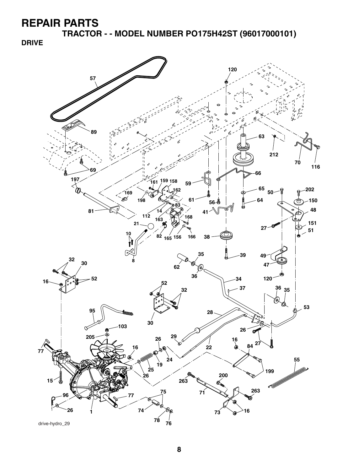**TRACTOR - - MODEL NUMBER PO175H42ST (96017000101)**

**DRIVE**

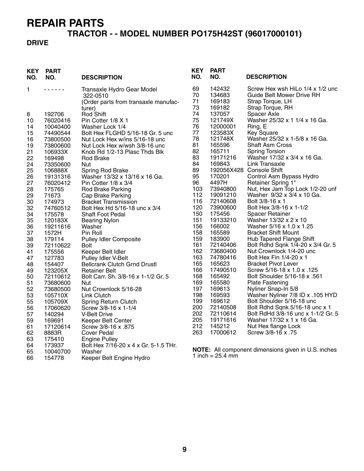## **TRACTOR - - MODEL NUMBER PO175H42ST (96017000101)**

### **DRIVE**

| <b>DESCRIPTION</b><br>NO.<br>NO.<br><b>DESCRIPTION</b>                                                                            |  |
|-----------------------------------------------------------------------------------------------------------------------------------|--|
| 69<br>142432<br>Screw Hex wsh HiLo 1/4 x 1/2 unc<br>1<br>Transaxle Hydro Gear Model<br>.                                          |  |
| 70<br>134683<br><b>Guide Belt Mower Drive RH</b><br>322-0510                                                                      |  |
| 71<br>169183<br>Strap Torque, LH<br>(Order parts from transaxle manufac-                                                          |  |
| 73<br>Strap Torque, RH<br>169182<br>turer)                                                                                        |  |
| 74<br>Rod Shift<br>137057<br>Spacer Axle<br>8<br>192706                                                                           |  |
| 75<br>Washer 25/32 x 1 1/4 x 16 Ga.<br>121749X<br>76020416<br>Pin Cotter 1/8 X 1<br>10                                            |  |
| 76<br>Ring, E<br>12000001<br>10040400<br>Washer Lock 1/4<br>14                                                                    |  |
| 77<br>123583X<br>Key Square<br>74490544<br>Bolt Hex FLGHD 5/16-18 Gr. 5 unc<br>15<br>78<br>Washer 25/32 x 1-5/8 x 16 Ga.          |  |
| 121748X<br>16<br>Nut Lock Hex w/ins 5/16-18 unc<br>73800500<br>81<br>165596<br><b>Shaft Asm Cross</b>                             |  |
| 19<br>73800600<br>Nut Lock Hex w/wsh 3/8-16 unc<br>82<br>165711<br><b>Spring Torsion</b>                                          |  |
| 21<br>106933X<br>Knob Rd 1/2-13 Plasc Thds Blk<br>83<br>19171216<br>Washer 17/32 x 3/4 x 16 Ga.<br>22<br>169498<br>Rod Brake      |  |
| 84<br>169843<br><b>Link Transaxle</b><br>24<br>73350600<br>Nut                                                                    |  |
| 89<br>192056X428 Console Shift<br>25<br>106888X<br>Spring Rod Brake                                                               |  |
| 95<br>170201<br>Control Asm Bypass Hydro<br>26<br>19131316<br>Washer 13/32 x 13/16 x 16 Ga.                                       |  |
| 96<br>4497H<br>Retainer Spring 1"<br>27<br>Pin Cotter 1/8 x 3/4<br>76020412                                                       |  |
| Nut, Hex Jam Top Lock 1/2-20 unf<br>103<br>73940800<br>28<br>175765<br><b>Rod Brake Parking</b>                                   |  |
| 112<br>Washer 9/32 x 3/4 x 10 Ga.<br>29<br>71673<br>19091210<br>Cap Brake Parking                                                 |  |
| 72140608<br>Bolt 3/8-16 x 1<br>116<br>30<br>174973<br><b>Bracket Transmission</b>                                                 |  |
| 120<br>73900600<br>Bolt Hex 3/8-16 x 1-1/2<br>32<br>74760512<br>Bolt Hex Hd 5/16-18 unc x 3/4                                     |  |
| 150<br>175456<br>34<br><b>Spacer Retainer</b><br>175578<br><b>Shaft Foot Pedal</b>                                                |  |
| 151<br>19133210<br>Washer 13/32 x 2 x 10<br>35<br>120183X<br><b>Bearing Nylon</b>                                                 |  |
| 156<br>166002<br>Washer 5/16 x 1.0 x 1.25<br>36<br>19211616<br>Washer                                                             |  |
| 165589<br><b>Bracket Shift Mount</b><br>158<br>37<br>1572H<br>Pin Roll                                                            |  |
| 159<br>183900<br>Hub Tapered Flange Shift<br>38<br>179114<br><b>Pulley Idler Composite</b>                                        |  |
| 161<br>72140406<br>Bolt Rdhd Sqnk 1/4-20 x 3/4 Gr. 5<br>39<br>72110622<br>Bolt                                                    |  |
| 162<br>73680400<br>Nut Crownlock 1/4-20 unc<br>41<br>175556<br>Keeper Belt Idler                                                  |  |
| 163<br>Bolt Hex Fin 1/4-20 x 1<br>Pulley Idler V-Belt<br>74780416<br>47<br>127783                                                 |  |
| 165<br>165623<br><b>Bracket Pivot Lever</b><br>154407<br><b>Bellcrank Clutch Grnd Drustl</b><br>48                                |  |
| 166<br>17490510<br>Screw 5/16-18 x 1.0 x .125<br>49<br>123205X<br><b>Retainer Belt</b>                                            |  |
| Bolt Shoulder 5/16-18 x .561<br>168<br>165492<br>50<br>Bolt Carr. Sh. 3/8-16 x 1-1/2 Gr. 5<br>72110612                            |  |
| 169<br>165580<br><b>Plate Fastening</b><br>51<br>73680600<br>Nut                                                                  |  |
| 197<br>169613<br>Nyliner Snap-In 5/8<br>52<br>Nut Crownlock 5/16-28<br>73680500                                                   |  |
| 198<br>169593<br>Washer Nyliner 7/8 ID x .105 HYD<br>53<br>105710X<br><b>Link Clutch</b>                                          |  |
| 199<br>169612<br>Bolt Shoulder 5/16-18 unc<br>55<br>105709X<br>Spring Return Clutch<br>200                                        |  |
| 72140508<br>Bolt Rdhd Sqnk 5/16-18 unc x 1<br>17060620<br>Screw 3/8-16 x 1-1/4<br>56<br>202<br>Bolt RdHd 3/8-16 unc x 1-1/2 Gr. 5 |  |
| 72110614<br>140294<br>57<br><b>V-Belt Drive</b><br>205<br>19171616<br>Washer 17/32 x 1 x 16 Ga.                                   |  |
| 59<br>169691<br>Keeper Belt Center<br>212<br>145212<br>Nut Hex flange Lock                                                        |  |
| 61<br>17120614<br>Screw 3/8-16 x .875<br>263<br>17000612<br>Screw 3/8-16 x .75                                                    |  |
| 62<br>8883R<br>Cover Pedal<br>63<br>175410                                                                                        |  |
| <b>Engine Pulley</b><br>173937<br>Bolt Hex 7/16-20 x 4 x Gr. 5-1.5 THr.<br>64                                                     |  |
| NOTE: All component dimensions given in U.S. inches<br>65<br>10040700<br>Washer                                                   |  |
| 1 inch = $25.4 \text{ mm}$<br>66<br>154778<br>Keeper Belt Engine Hydro                                                            |  |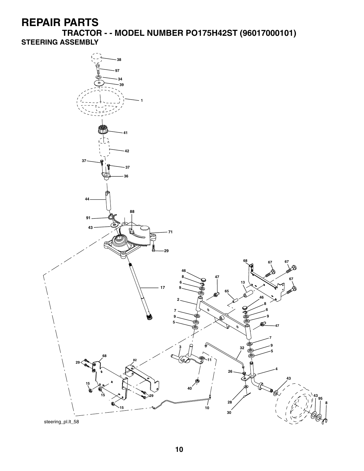**TRACTOR - - MODEL NUMBER PO175H42ST (96017000101) STEERING ASSEMBLY**

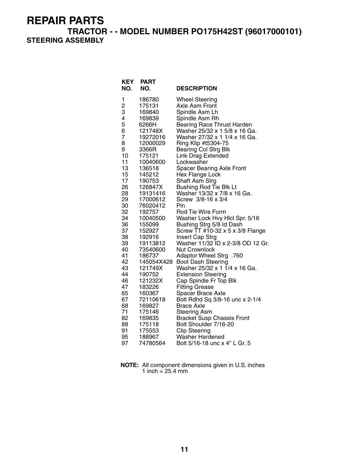**TRACTOR - - MODEL NUMBER PO175H42ST (96017000101) STEERING ASSEMBLY**

| KEY<br>NO.              | <b>PART</b><br>NO.  | <b>DESCRIPTION</b>                                             |
|-------------------------|---------------------|----------------------------------------------------------------|
| 1                       | 186780              | <b>Wheel Steering</b>                                          |
| $\overline{\mathbf{c}}$ | 175131              | Axle Asm Front                                                 |
| 3                       | 169840              | Spindle Asm Lh                                                 |
| 4                       | 169839              | Spindle Asm Rh                                                 |
| 5                       | 6266H               | <b>Bearing Race Thrust Harden</b>                              |
| 6<br>7                  | 121748X<br>19272016 | Washer 25/32 x 1 5/8 x 16 Ga.<br>Washer 27/32 x 1 1/4 x 16 Ga. |
| 8                       | 12000029            | Ring Klip #t5304-75                                            |
| 9                       | 3366R               | <b>Bearing Col Strg Blk</b>                                    |
| 10                      | 175121              | <b>Link Drag Extended</b>                                      |
| 11                      | 10040600            | Lockwasher                                                     |
| 13                      | 136518              | <b>Spacer Bearing Axle Front</b>                               |
| 15                      | 145212              | Hex Flange Lock                                                |
| 17                      | 190753              | <b>Shaft Asm Strg</b>                                          |
| 26                      | 126847X             | <b>Bushing Rod Tie Blk Lt</b>                                  |
| 28                      | 19131416            | Washer 13/32 x 7/8 x 16 Ga.                                    |
| 29                      | 17000612            | Screw 3/8-16 x 3/4                                             |
| 30                      | 76020412            | Pin                                                            |
| 32<br>34                | 192757<br>10040500  | Rod Tie Wire Form<br>Washer Lock Hvy Hlcl Spr. 5/16            |
| 36                      | 155099              | Bushing Strg 5/8 Id Dash                                       |
| 37                      | 152927              | Screw TT #10-32 x 5 x 3/8 Flange                               |
| 38                      | 192916              | Insert Cap Strg                                                |
| 39                      | 19113812            | Washer 11/32 ID x 2-3/8 OD 12 Gr.                              |
| 40                      | 73540600            | <b>Nut Crownlock</b>                                           |
| 41                      | 186737              | 760. Adaptor Wheel Strg                                        |
| 42                      | 145054X428          | <b>Boot Dash Steering</b>                                      |
| 43                      | 121749X             | Washer 25/32 x 1 1/4 x 16 Ga.                                  |
| 44                      | 190752              | <b>Extension Steering</b>                                      |
| 46<br>47                | 121232X             | Cap Spindle Fr Top Blk                                         |
| 65                      | 183226<br>160367    | <b>Fitting Grease</b><br>Spacer Brace Axle                     |
| 67                      | 72110618            | Bolt Rdhd Sq 3/8-16 unc x 2-1/4                                |
| 68                      | 169827              | Brace Axle                                                     |
| 71                      | 175146              | <b>Steering Asm</b>                                            |
| 82                      | 169835              | <b>Bracket Susp Chassis Front</b>                              |
| 88                      | 175118              | Bolt Shoulder 7/16-20                                          |
| 91                      | 175553              | <b>Clip Steering</b>                                           |
| 95                      | 188967              | Washer Hardened                                                |
| 97                      | 74780564            | Bolt 5/16-18 unc x 4" L Gr. 5                                  |

**NOTE:** All component dimensions given in U.S. inches 1 inch = 25.4 mm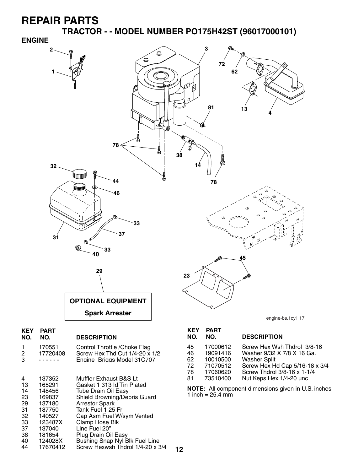**TRACTOR - - MODEL NUMBER PO175H42ST (96017000101)**



| 8 | Screw Hex Thd Cut $1/4-20 \times 1/2$ |  |
|---|---------------------------------------|--|
|   | Engine Briggs Model 31C707            |  |

| 4<br>13<br>14<br>23<br>29<br>31<br>32 | 137352<br>165291<br>148456<br>169837<br>137180<br>187750<br>140527 | Muffler Exhaust B&S Lt<br>Gasket 1 313 Id Tin Plated<br><b>Tube Drain Oil Easy</b><br>Shield Browning/Debris Guard<br><b>Arrestor Spark</b><br>Tank Fuel 1 25 Fr<br>Cap Asm Fuel W/sym Vented |
|---------------------------------------|--------------------------------------------------------------------|-----------------------------------------------------------------------------------------------------------------------------------------------------------------------------------------------|
| 33                                    | 123487X                                                            | Clamp Hose Blk                                                                                                                                                                                |
| 37                                    | 137040                                                             | Line Fuel 20"                                                                                                                                                                                 |
| 38                                    | 181654                                                             | Plug Drain Oil Easy                                                                                                                                                                           |
| 40                                    | 124028X                                                            | Bushing Snap Nyl Blk Fuel Line                                                                                                                                                                |
| 44                                    | 17670412                                                           | Screw Hexwsh Thdrol 1/4-20 x 3/4                                                                                                                                                              |

. . . . . . .

| NU. | NU.      | <b>DESCRIPTION</b>         |
|-----|----------|----------------------------|
| 45  | 17000612 | Screw Hex Wsh Thdrol 3/8-  |
| 46  | 19091416 | Washer 9/32 X 7/8 X 16 Ga. |
| 62  | 10010500 | <b>Washer Split</b>        |
| 72  | 71070512 | Screw Hex Hd Cap 5/16-18   |

- 72 71070512 Screw Hex Hd Cap 5/16-18 x 3/4
	- Screw Thdrol 3/8-16 x 1-1/4
- 81 73510400 Nut Keps Hex 1/4-20 unc

**NOTE:** All component dimensions given in U.S. inches 1 inch =  $25.4$  mm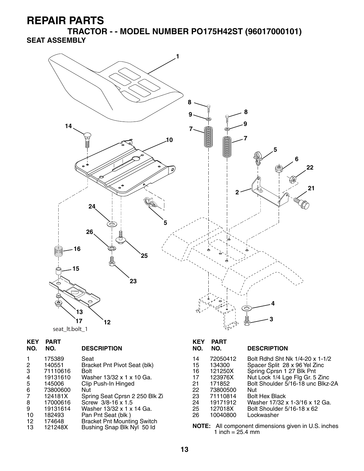**TRACTOR - - MODEL NUMBER PO175H42ST (96017000101) SEAT ASSEMBLY**



| <b>KEY</b><br>NO. | <b>PART</b><br>NO. | <b>DESCRIPTION</b>                 | <b>KEY</b><br>NO. | <b>PART</b><br>NO. | <b>DESCRIPTION</b>                                  |
|-------------------|--------------------|------------------------------------|-------------------|--------------------|-----------------------------------------------------|
| $\mathbf{1}$      | 175389             | Seat                               | 14                | 72050412           | Bolt Rdhd Sht Nk 1/4-20 x 1-1/2                     |
| $\overline{2}$    | 140551             | Bracket Pnt Pivot Seat (blk)       | 15                | 134300             | Spacer Split 28 x 96 Yel Zinc                       |
| 3                 | 71110616           | <b>Bolt</b>                        | 16                | 121250X            | Spring Cprsn 1 27 Blk Pnt                           |
| 4                 | 19131610           | Washer 13/32 x 1 x 10 Ga.          | 17                | 123976X            | Nut Lock 1/4 Lge Flg Gr. 5 Zinc                     |
| 5                 | 145006             | Clip Push-In Hinged                | 21                | 171852             | Bolt Shoulder 5/16-18 unc Blkz-2A                   |
| 6                 | 73800600           | Nut                                | 22                | 73800500           | Nut                                                 |
| $\overline{7}$    | 124181X            | Spring Seat Cprsn 2 250 Blk Zi     | 23                | 71110814           | <b>Bolt Hex Black</b>                               |
| 8                 | 17000616           | Screw 3/8-16 x 1.5                 | 24                | 19171912           | Washer 17/32 x 1-3/16 x 12 Ga.                      |
| 9                 | 19131614           | Washer 13/32 x 1 x 14 Ga.          | 25                | 127018X            | Bolt Shoulder 5/16-18 x 62                          |
| 10                | 182493             | Pan Pnt Seat (blk)                 | 26                | 10040800           | Lockwasher                                          |
| 12                | 174648             | <b>Bracket Pnt Mounting Switch</b> |                   |                    |                                                     |
| 13                | 121248X            | Bushing Snap Blk Nyl 50 ld         |                   | 1 inch = $25.4$ mm | NOTE: All component dimensions given in U.S. inches |

**13**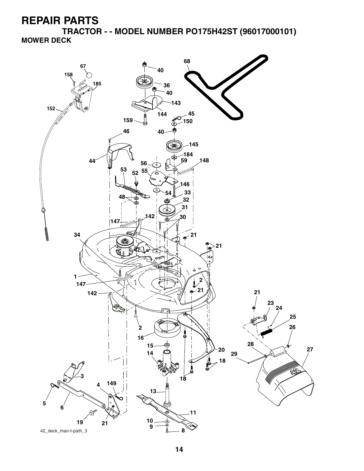**TRACTOR - - MODEL NUMBER PO175H42ST (96017000101) MOWER DECK**

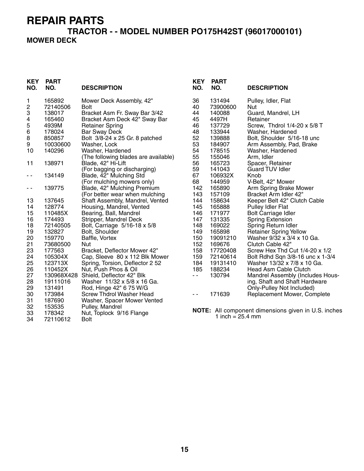### **TRACTOR - - MODEL NUMBER PO175H42ST (96017000101) MOWER DECK**

| <b>KEY</b><br>NO.       | <b>PART</b><br>NO. | <b>DESCRIPTION</b>                                            | <b>KEY</b><br>NO. | <b>PART</b><br>NO.         | <b>DESCRIPTION</b>                                  |
|-------------------------|--------------------|---------------------------------------------------------------|-------------------|----------------------------|-----------------------------------------------------|
| 1                       | 165892             | Mower Deck Assembly, 42"                                      | 36                | 131494                     | Pulley, Idler, Flat                                 |
| $\overline{\mathbf{c}}$ | 72140506           | <b>Bolt</b>                                                   | 40                | 73900600                   | Nut                                                 |
| 3                       | 138017             | Bracket Asm Fr. Sway Bar 3/42                                 | 44                | 140088                     | Guard, Mandrel, LH                                  |
| 4                       | 165460             | Bracket Asm Deck 42" Sway Bar                                 | 45                | 4497H                      | Retainer                                            |
| 5                       | 4939M              | <b>Retainer Spring</b>                                        | 46                | 137729                     | Screw, Thdrol 1/4-20 x 5/8 T                        |
| $\,6$                   | 178024             | <b>Bar Sway Deck</b>                                          | 48                | 133944                     | Washer, Hardened                                    |
| 8                       | 850857             | Bolt 3/8-24 x 25 Gr. 8 patched                                | 52                | 139888                     | Bolt, Shoulder 5/16-18 unc                          |
| $\boldsymbol{9}$        | 10030600           | Washer, Lock                                                  | 53                | 184907                     | Arm Assembly, Pad, Brake                            |
| 10                      | 140296             | Washer, Hardened                                              | 54                | 178515                     | Washer, Hardened                                    |
|                         |                    | (The following blades are available)                          | 55                | 155046                     | Arm, Idler                                          |
| 11                      | 138971             | Blade, 42" Hi-Lift                                            | 56                | 165723                     | Spacer, Retainer                                    |
|                         |                    | (For bagging or discharging)                                  | 59<br>67          | 141043                     | <b>Guard TUV Idler</b>                              |
| - -                     | 134149             | Blade, 42" Mulching Std                                       |                   | 106932X                    | Knob                                                |
|                         | 139775             | (For mulching mowers only)                                    | 68<br>142         | 144959<br>165890           | V-Belt, 42" Mower                                   |
| $ -$                    |                    | Blade, 42" Mulching Premium<br>(For better wear when mulching | 143               | 157109                     | Arm Spring Brake Mower<br>Bracket Arm Idler 42"     |
| 13                      | 137645             | Shaft Assembly, Mandrel, Vented                               | 144               | 158634                     | Keeper Belt 42" Clutch Cable                        |
| 14                      | 128774             | Housing, Mandrel, Vented                                      | 145               | 165888                     | Pulley Idler Flat                                   |
| 15                      | 110485X            | Bearing, Ball, Mandrel                                        | 146               | 171977                     | <b>Bolt Carriage Idler</b>                          |
| 16                      | 174493             | Stripper, Mandrel Deck                                        | 147               | 131335                     | <b>Spring Extension</b>                             |
| 18                      | 72140505           | Bolt, Carriage 5/16-18 x 5/8                                  | 148               | 169022                     | Spring Return Idler                                 |
| 19                      | 132827             | Bolt, Shoulder                                                | 149               | 165898                     | <b>Retainer Spring Yellow</b>                       |
| 20                      | 159770             | Baffle, Vortex                                                | 150               | 19091210                   | Washer 9/32 x 3/4 x 10 Ga.                          |
| 21                      | 73680500           | Nut                                                           | 152               | 169676                     | Clutch Cable 42"                                    |
| 23                      | 177563             | Bracket, Deflector Mower 42"                                  | 158               | 17720408                   | Screw Hex Thd Cut 1/4-20 x 1/2                      |
| 24                      | 105304X            | Cap, Sleeve 80 x 112 Blk Mower                                | 159               | 72140614                   | Bolt Rdhd Sqn 3/8-16 unc x 1-3/4                    |
| 25                      | 123713X            | Spring, Torsion, Deflector 2 52                               | 184               | 19131410                   | Washer 13/32 x 7/8 x 10 Ga.                         |
| 26                      | 110452X            | Nut, Push Phos & Oil                                          | 185               | 188234                     | Head Asm Cable Clutch                               |
| 27                      |                    | 130968X428 Shield, Deflector 42" Blk                          | $\sim$ $\sim$     | 130794                     | Mandrel Assembly (Includes Hous-                    |
| 28                      | 19111016           | Washer 11/32 x 5/8 x 16 Ga.                                   |                   |                            | ing, Shaft and Shaft Hardware                       |
| 29                      | 131491             | Rod, Hinge 42" 6 75 W/G                                       |                   |                            | Only-Pulley Not Included)                           |
| 30                      | 173984             | Screw Thdrol Washer Head                                      | $ -$              | 171639                     | Replacement Mower, Complete                         |
| 31                      | 187690             | Washer, Spacer Mower Vented                                   |                   |                            |                                                     |
| 32                      | 153535             | Pulley, Mandrel                                               |                   |                            |                                                     |
| 33                      | 178342             | Nut, Toplock 9/16 Flange                                      |                   |                            | NOTE: All component dimensions given in U.S. inches |
| 34                      | 72110612           | Bolt                                                          |                   | 1 inch = $25.4 \text{ mm}$ |                                                     |